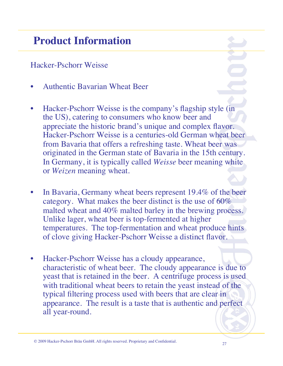#### Hacker-Pschorr Weisse

- Authentic Bavarian Wheat Beer
- Hacker-Pschorr Weisse is the company's flagship style (in the US), catering to consumers who know beer and appreciate the historic brand's unique and complex flavor. Hacker-Pschorr Weisse is a centuries-old German wheat beer from Bavaria that offers a refreshing taste. Wheat beer was originated in the German state of Bavaria in the 15th century. In Germany, it is typically called *Weisse* beer meaning white or *Weizen* meaning wheat.
- In Bavaria, Germany wheat beers represent 19.4% of the beer category. What makes the beer distinct is the use of 60% malted wheat and 40% malted barley in the brewing process. Unlike lager, wheat beer is top-fermented at higher temperatures. The top-fermentation and wheat produce hints of clove giving Hacker-Pschorr Weisse a distinct flavor.
- Hacker-Pschorr Weisse has a cloudy appearance, characteristic of wheat beer. The cloudy appearance is due to yeast that is retained in the beer. A centrifuge process is used with traditional wheat beers to retain the yeast instead of the typical filtering process used with beers that are clear in appearance. The result is a taste that is authentic and perfect all year-round.

<sup>27</sup> © 2009 Hacker-Pschorr Bräu GmbH. All rights reserved. Proprietary and Confidential.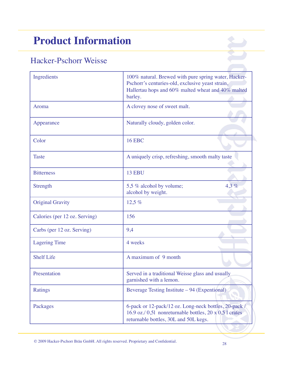### Hacker-Pschorr Weisse

| Ingredients                   | 100% natural. Brewed with pure spring water, Hacker-<br>Pschorr's centuries-old, exclusive yeast strain,<br>Hallertau hops and 60% malted wheat and 40% malted<br>barley. |
|-------------------------------|---------------------------------------------------------------------------------------------------------------------------------------------------------------------------|
| Aroma                         | A clovey nose of sweet malt.                                                                                                                                              |
| Appearance                    | Naturally cloudy, golden color.                                                                                                                                           |
| Color                         | <b>16 EBC</b>                                                                                                                                                             |
| <b>Taste</b>                  | A uniquely crisp, refreshing, smooth malty taste                                                                                                                          |
| <b>Bitterness</b>             | <b>13 EBU</b>                                                                                                                                                             |
| Strength                      | 4.3%<br>5,5 % alcohol by volume;<br>alcohol by weight.                                                                                                                    |
| <b>Original Gravity</b>       | 12,5 %                                                                                                                                                                    |
| Calories (per 12 oz. Serving) | 156                                                                                                                                                                       |
| Carbs (per 12 oz. Serving)    | 9,4                                                                                                                                                                       |
| <b>Lagering Time</b>          | 4 weeks                                                                                                                                                                   |
| <b>Shelf Life</b>             | A maximum of 9 month                                                                                                                                                      |
| Presentation                  | Served in a traditional Weisse glass and usually<br>garnished with a lemon.                                                                                               |
| <b>Ratings</b>                | Beverage Testing Institute – 94 (Expentional)                                                                                                                             |
| Packages                      | 6-pack or 12-pack/12 oz. Long-neck bottles, 20-pack/<br>16.9 oz./0,51 nonreturnable bottles, $20 \times 0.51$ crates<br>returnable bottles, 30L and 50L kegs.             |

<sup>28</sup> © 2009 Hacker-Pschorr Bräu GmbH. All rights reserved. Proprietary and Confidential.

Ŕ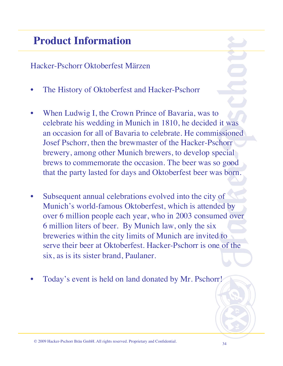Hacker-Pschorr Oktoberfest Märzen

- The History of Oktoberfest and Hacker-Pschorr
- When Ludwig I, the Crown Prince of Bavaria, was to celebrate his wedding in Munich in 1810, he decided it was an occasion for all of Bavaria to celebrate. He commissioned Josef Pschorr, then the brewmaster of the Hacker-Pschorr brewery, among other Munich brewers, to develop special brews to commemorate the occasion. The beer was so good that the party lasted for days and Oktoberfest beer was born.
- Subsequent annual celebrations evolved into the city of Munich's world-famous Oktoberfest, which is attended by over 6 million people each year, who in 2003 consumed over 6 million liters of beer. By Munich law, only the six breweries within the city limits of Munich are invited to serve their beer at Oktoberfest. Hacker-Pschorr is one of the six, as is its sister brand, Paulaner.
- Today's event is held on land donated by Mr. Pschorr!

<sup>34</sup> © 2009 Hacker-Pschorr Bräu GmbH. All rights reserved. Proprietary and Confidential.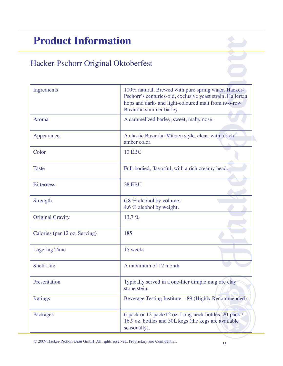### Hacker-Pschorr Original Oktoberfest

| Ingredients                   | 100% natural. Brewed with pure spring water, Hacker-<br>Pschorr's centuries-old, exclusive yeast strain, Hallertau<br>hops and dark- and light-coloured malt from two-row<br>Bavarian summer barley |
|-------------------------------|-----------------------------------------------------------------------------------------------------------------------------------------------------------------------------------------------------|
| Aroma                         | A caramelized barley, sweet, malty nose.                                                                                                                                                            |
| Appearance                    | A classic Bavarian Märzen style, clear, with a rich<br>amber color.                                                                                                                                 |
| Color                         | <b>10 EBC</b>                                                                                                                                                                                       |
| <b>Taste</b>                  | Full-bodied, flavorful, with a rich creamy head.                                                                                                                                                    |
| <b>Bitterness</b>             | <b>28 EBU</b>                                                                                                                                                                                       |
| Strength                      | 6.8 % alcohol by volume;<br>4.6 % alcohol by weight.                                                                                                                                                |
| <b>Original Gravity</b>       | 13.7 $%$                                                                                                                                                                                            |
| Calories (per 12 oz. Serving) | 185                                                                                                                                                                                                 |
| <b>Lagering Time</b>          | 15 weeks                                                                                                                                                                                            |
| <b>Shelf Life</b>             | A maximum of 12 month                                                                                                                                                                               |
| Presentation                  | Typically served in a one-liter dimple mug ore clay<br>stone stein.                                                                                                                                 |
| <b>Ratings</b>                | Beverage Testing Institute – 89 (Highly Recommended)                                                                                                                                                |
| Packages                      | 6-pack or 12-pack/12 oz. Long-neck bottles, 20-pack /<br>16.9 oz. bottles and 50L kegs (the kegs are available<br>seasonally).                                                                      |

<sup>35</sup> © 2009 Hacker-Pschorr Bräu GmbH. All rights reserved. Proprietary and Confidential.

 $\sum$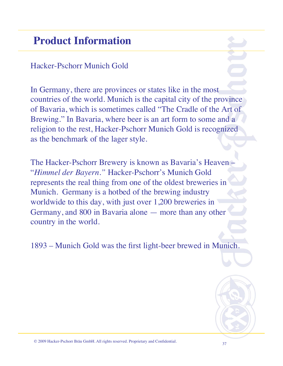### Hacker-Pschorr Munich Gold

In Germany, there are provinces or states like in the most countries of the world. Munich is the capital city of the province of Bavaria, which is sometimes called "The Cradle of the Art of Brewing." In Bavaria, where beer is an art form to some and a religion to the rest, Hacker-Pschorr Munich Gold is recognized as the benchmark of the lager style.

The Hacker-Pschorr Brewery is known as Bavaria's Heaven – "*Himmel der Bayern."* Hacker-Pschorr's Munich Gold represents the real thing from one of the oldest breweries in Munich. Germany is a hotbed of the brewing industry worldwide to this day, with just over 1,200 breweries in Germany, and 800 in Bavaria alone — more than any other country in the world.

1893 – Munich Gold was the first light-beer brewed in Munich.



<sup>37</sup> © 2009 Hacker-Pschorr Bräu GmbH. All rights reserved. Proprietary and Confidential.